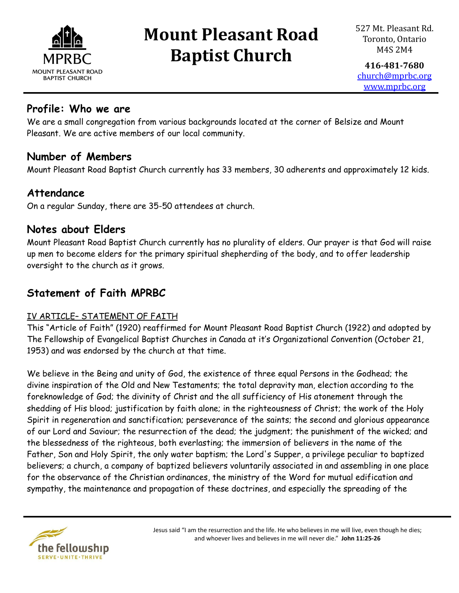

**416-481-7680** [church@mprbc.org](mailto:church@mprbc.org) [www.mprbc.org](http://www.mprbc.org)

### **Profile: Who we are**

We are a small congregation from various backgrounds located at the corner of Belsize and Mount Pleasant. We are active members of our local community.

### **Number of Members**

Mount Pleasant Road Baptist Church currently has 33 members, 30 adherents and approximately 12 kids.

### **Attendance**

On a regular Sunday, there are 35-50 attendees at church.

### **Notes about Elders**

Mount Pleasant Road Baptist Church currently has no plurality of elders. Our prayer is that God will raise up men to become elders for the primary spiritual shepherding of the body, and to offer leadership oversight to the church as it grows.

### **Statement of Faith MPRBC**

#### IV ARTICLE– STATEMENT OF FAITH

This "Article of Faith" (1920) reaffirmed for Mount Pleasant Road Baptist Church (1922) and adopted by The Fellowship of Evangelical Baptist Churches in Canada at it's Organizational Convention (October 21, 1953) and was endorsed by the church at that time.

We believe in the Being and unity of God, the existence of three equal Persons in the Godhead; the divine inspiration of the Old and New Testaments; the total depravity man, election according to the foreknowledge of God; the divinity of Christ and the all sufficiency of His atonement through the shedding of His blood; justification by faith alone; in the righteousness of Christ; the work of the Holy Spirit in regeneration and sanctification; perseverance of the saints; the second and glorious appearance of our Lord and Saviour; the resurrection of the dead; the judgment; the punishment of the wicked; and the blessedness of the righteous, both everlasting; the immersion of believers in the name of the Father, Son and Holy Spirit, the only water baptism; the Lord's Supper, a privilege peculiar to baptized believers; a church, a company of baptized believers voluntarily associated in and assembling in one place for the observance of the Christian ordinances, the ministry of the Word for mutual edification and sympathy, the maintenance and propagation of these doctrines, and especially the spreading of the

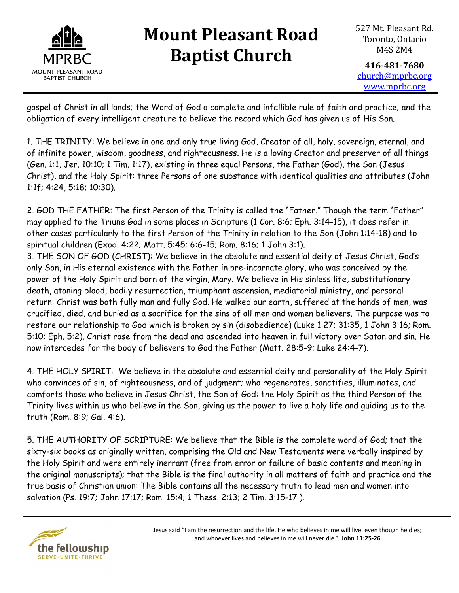

**416-481-7680** [church@mprbc.org](mailto:church@mprbc.org) [www.mprbc.org](http://www.mprbc.org)

gospel of Christ in all lands; the Word of God a complete and infallible rule of faith and practice; and the obligation of every intelligent creature to believe the record which God has given us of His Son.

1. THE TRINITY: We believe in one and only true living God, Creator of all, holy, sovereign, eternal, and of infinite power, wisdom, goodness, and righteousness. He is a loving Creator and preserver of all things (Gen. 1:1, Jer. 10:10; 1 Tim. 1:17), existing in three equal Persons, the Father (God), the Son (Jesus Christ), and the Holy Spirit: three Persons of one substance with identical qualities and attributes (John 1:1f; 4:24, 5:18; 10:30).

2. GOD THE FATHER: The first Person of the Trinity is called the "Father." Though the term "Father" may applied to the Triune God in some places in Scripture (1 Cor. 8:6; Eph. 3:14-15), it does refer in other cases particularly to the first Person of the Trinity in relation to the Son (John 1:14-18) and to spiritual children (Exod. 4:22; Matt. 5:45; 6:6-15; Rom. 8:16; 1 John 3:1).

3. THE SON OF GOD (CHRIST): We believe in the absolute and essential deity of Jesus Christ, God's only Son, in His eternal existence with the Father in pre-incarnate glory, who was conceived by the power of the Holy Spirit and born of the virgin, Mary. We believe in His sinless life, substitutionary death, atoning blood, bodily resurrection, triumphant ascension, mediatorial ministry, and personal return: Christ was both fully man and fully God. He walked our earth, suffered at the hands of men, was crucified, died, and buried as a sacrifice for the sins of all men and women believers. The purpose was to restore our relationship to God which is broken by sin (disobedience) (Luke 1:27; 31:35, 1 John 3:16; Rom. 5:10; Eph. 5:2). Christ rose from the dead and ascended into heaven in full victory over Satan and sin. He now intercedes for the body of believers to God the Father (Matt. 28:5-9; Luke 24:4-7).

4. THE HOLY SPIRIT: We believe in the absolute and essential deity and personality of the Holy Spirit who convinces of sin, of righteousness, and of judgment; who regenerates, sanctifies, illuminates, and comforts those who believe in Jesus Christ, the Son of God: the Holy Spirit as the third Person of the Trinity lives within us who believe in the Son, giving us the power to live a holy life and guiding us to the truth (Rom. 8:9; Gal. 4:6).

5. THE AUTHORITY OF SCRIPTURE: We believe that the Bible is the complete word of God; that the sixty-six books as originally written, comprising the Old and New Testaments were verbally inspired by the Holy Spirit and were entirely inerrant (free from error or failure of basic contents and meaning in the original manuscripts); that the Bible is the final authority in all matters of faith and practice and the true basis of Christian union: The Bible contains all the necessary truth to lead men and women into salvation (Ps. 19:7; John 17:17; Rom. 15:4; 1 Thess. 2:13; 2 Tim. 3:15-17 ).

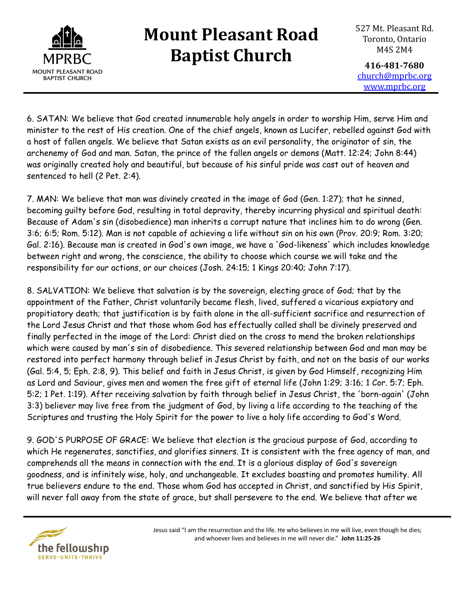

527 Mt. Pleasant Rd. Toronto, Ontario M4S 2M4

**416-481-7680** [church@mprbc.org](mailto:church@mprbc.org) [www.mprbc.org](http://www.mprbc.org)

6. SATAN: We believe that God created innumerable holy angels in order to worship Him, serve Him and minister to the rest of His creation. One of the chief angels, known as Lucifer, rebelled against God with a host of fallen angels. We believe that Satan exists as an evil personality, the originator of sin, the archenemy of God and man. Satan, the prince of the fallen angels or demons (Matt. 12:24; John 8:44) was originally created holy and beautiful, but because of his sinful pride was cast out of heaven and sentenced to hell (2 Pet. 2:4).

7. MAN: We believe that man was divinely created in the image of God (Gen. 1:27); that he sinned, becoming guilty before God, resulting in total depravity, thereby incurring physical and spiritual death: Because of Adam's sin (disobedience) man inherits a corrupt nature that inclines him to do wrong (Gen. 3:6; 6:5; Rom. 5:12). Man is not capable of achieving a life without sin on his own (Prov. 20:9; Rom. 3:20; Gal. 2:16). Because man is created in God's own image, we have a 'God-likeness' which includes knowledge between right and wrong, the conscience, the ability to choose which course we will take and the responsibility for our actions, or our choices (Josh. 24:15; 1 Kings 20:40; John 7:17).

8. SALVATION: We believe that salvation is by the sovereign, electing grace of God; that by the appointment of the Father, Christ voluntarily became flesh, lived, suffered a vicarious expiatory and propitiatory death; that justification is by faith alone in the all-sufficient sacrifice and resurrection of the Lord Jesus Christ and that those whom God has effectually called shall be divinely preserved and finally perfected in the image of the Lord: Christ died on the cross to mend the broken relationships which were caused by man's sin of disobedience. This severed relationship between God and man may be restored into perfect harmony through belief in Jesus Christ by faith, and not on the basis of our works (Gal. 5:4, 5; Eph. 2:8, 9). This belief and faith in Jesus Christ, is given by God Himself, recognizing Him as Lord and Saviour, gives men and women the free gift of eternal life (John 1:29; 3:16; 1 Cor. 5:7; Eph. 5:2; 1 Pet. 1:19). After receiving salvation by faith through belief in Jesus Christ, the 'born-again' (John 3:3) believer may live free from the judgment of God, by living a life according to the teaching of the Scriptures and trusting the Holy Spirit for the power to live a holy life according to God's Word.

9. GOD'S PURPOSE OF GRACE: We believe that election is the gracious purpose of God, according to which He regenerates, sanctifies, and glorifies sinners. It is consistent with the free agency of man, and comprehends all the means in connection with the end. It is a glorious display of God's sovereign goodness, and is infinitely wise, holy, and unchangeable. It excludes boasting and promotes humility. All true believers endure to the end. Those whom God has accepted in Christ, and sanctified by His Spirit, will never fall away from the state of grace, but shall persevere to the end. We believe that after we

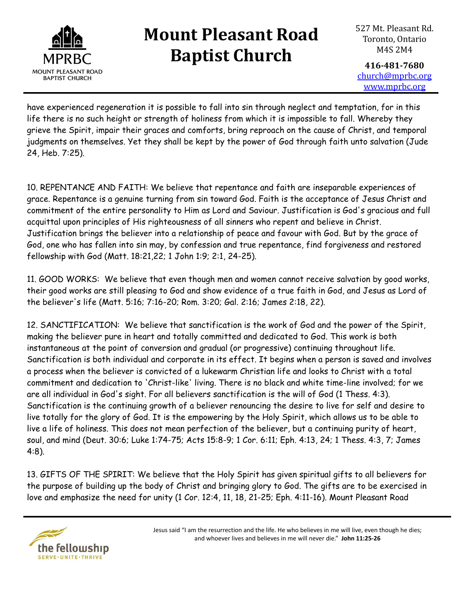

**416-481-7680** [church@mprbc.org](mailto:church@mprbc.org) [www.mprbc.org](http://www.mprbc.org)

have experienced regeneration it is possible to fall into sin through neglect and temptation, for in this life there is no such height or strength of holiness from which it is impossible to fall. Whereby they grieve the Spirit, impair their graces and comforts, bring reproach on the cause of Christ, and temporal judgments on themselves. Yet they shall be kept by the power of God through faith unto salvation (Jude 24, Heb. 7:25).

10. REPENTANCE AND FAITH: We believe that repentance and faith are inseparable experiences of grace. Repentance is a genuine turning from sin toward God. Faith is the acceptance of Jesus Christ and commitment of the entire personality to Him as Lord and Saviour. Justification is God's gracious and full acquittal upon principles of His righteousness of all sinners who repent and believe in Christ. Justification brings the believer into a relationship of peace and favour with God. But by the grace of God, one who has fallen into sin may, by confession and true repentance, find forgiveness and restored fellowship with God (Matt. 18:21,22; 1 John 1:9; 2:1, 24-25).

11. GOOD WORKS: We believe that even though men and women cannot receive salvation by good works, their good works are still pleasing to God and show evidence of a true faith in God, and Jesus as Lord of the believer's life (Matt. 5:16; 7:16-20; Rom. 3:20; Gal. 2:16; James 2:18, 22).

12. SANCTIFICATION: We believe that sanctification is the work of God and the power of the Spirit, making the believer pure in heart and totally committed and dedicated to God. This work is both instantaneous at the point of conversion and gradual (or progressive) continuing throughout life. Sanctification is both individual and corporate in its effect. It begins when a person is saved and involves a process when the believer is convicted of a lukewarm Christian life and looks to Christ with a total commitment and dedication to 'Christ-like' living. There is no black and white time-line involved; for we are all individual in God's sight. For all believers sanctification is the will of God (1 Thess. 4:3). Sanctification is the continuing growth of a believer renouncing the desire to live for self and desire to live totally for the glory of God. It is the empowering by the Holy Spirit, which allows us to be able to live a life of holiness. This does not mean perfection of the believer, but a continuing purity of heart, soul, and mind (Deut. 30:6; Luke 1:74-75; Acts 15:8-9; 1 Cor. 6:11; Eph. 4:13, 24; 1 Thess. 4:3, 7; James 4:8).

13. GIFTS OF THE SPIRIT: We believe that the Holy Spirit has given spiritual gifts to all believers for the purpose of building up the body of Christ and bringing glory to God. The gifts are to be exercised in love and emphasize the need for unity (1 Cor. 12:4, 11, 18, 21-25; Eph. 4:11-16). Mount Pleasant Road

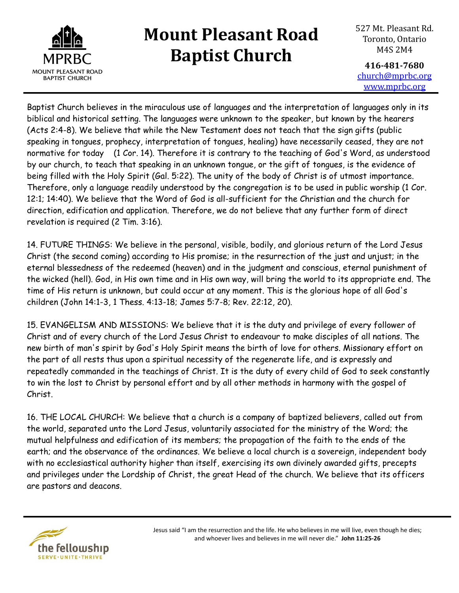

527 Mt. Pleasant Rd. Toronto, Ontario M4S 2M4

**416-481-7680** [church@mprbc.org](mailto:church@mprbc.org) [www.mprbc.org](http://www.mprbc.org)

Baptist Church believes in the miraculous use of languages and the interpretation of languages only in its biblical and historical setting. The languages were unknown to the speaker, but known by the hearers (Acts 2:4-8). We believe that while the New Testament does not teach that the sign gifts (public speaking in tongues, prophecy, interpretation of tongues, healing) have necessarily ceased, they are not normative for today (1 Cor. 14). Therefore it is contrary to the teaching of God's Word, as understood by our church, to teach that speaking in an unknown tongue, or the gift of tongues, is the evidence of being filled with the Holy Spirit (Gal. 5:22). The unity of the body of Christ is of utmost importance. Therefore, only a language readily understood by the congregation is to be used in public worship (1 Cor. 12:1; 14:40). We believe that the Word of God is all-sufficient for the Christian and the church for direction, edification and application. Therefore, we do not believe that any further form of direct revelation is required (2 Tim. 3:16).

14. FUTURE THINGS: We believe in the personal, visible, bodily, and glorious return of the Lord Jesus Christ (the second coming) according to His promise; in the resurrection of the just and unjust; in the eternal blessedness of the redeemed (heaven) and in the judgment and conscious, eternal punishment of the wicked (hell). God, in His own time and in His own way, will bring the world to its appropriate end. The time of His return is unknown, but could occur at any moment. This is the glorious hope of all God's children (John 14:1-3, 1 Thess. 4:13-18; James 5:7-8; Rev. 22:12, 20).

15. EVANGELISM AND MISSIONS: We believe that it is the duty and privilege of every follower of Christ and of every church of the Lord Jesus Christ to endeavour to make disciples of all nations. The new birth of man's spirit by God's Holy Spirit means the birth of love for others. Missionary effort on the part of all rests thus upon a spiritual necessity of the regenerate life, and is expressly and repeatedly commanded in the teachings of Christ. It is the duty of every child of God to seek constantly to win the lost to Christ by personal effort and by all other methods in harmony with the gospel of Christ.

16. THE LOCAL CHURCH: We believe that a church is a company of baptized believers, called out from the world, separated unto the Lord Jesus, voluntarily associated for the ministry of the Word; the mutual helpfulness and edification of its members; the propagation of the faith to the ends of the earth; and the observance of the ordinances. We believe a local church is a sovereign, independent body with no ecclesiastical authority higher than itself, exercising its own divinely awarded gifts, precepts and privileges under the Lordship of Christ, the great Head of the church. We believe that its officers are pastors and deacons.



Jesus said "I am the resurrection and the life. He who believes in me will live, even though he dies; and whoever lives and believes in me will never die." **John 11:25-26**